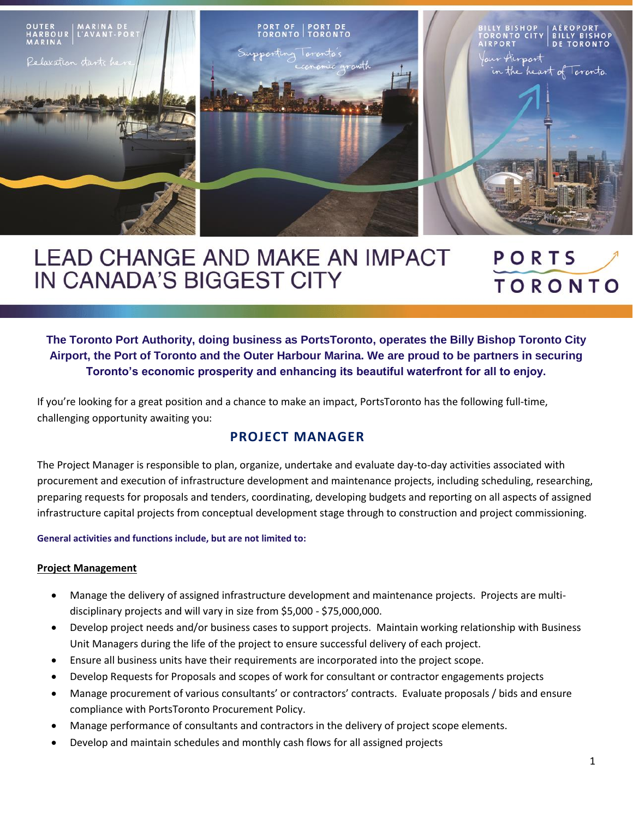

## **LEAD CHANGE AND MAKE AN IMPACT** PORTS IN CANADA'S BIGGEST CITY **TORONTO**

**The Toronto Port Authority, doing business as PortsToronto, operates the Billy Bishop Toronto City Airport, the Port of Toronto and the Outer Harbour Marina. We are proud to be partners in securing Toronto's economic prosperity and enhancing its beautiful waterfront for all to enjoy.**

If you're looking for a great position and a chance to make an impact, PortsToronto has the following full-time, challenging opportunity awaiting you:

# **PROJECT MANAGER**

The Project Manager is responsible to plan, organize, undertake and evaluate day-to-day activities associated with procurement and execution of infrastructure development and maintenance projects, including scheduling, researching, preparing requests for proposals and tenders, coordinating, developing budgets and reporting on all aspects of assigned infrastructure capital projects from conceptual development stage through to construction and project commissioning.

#### **General activities and functions include, but are not limited to:**

#### **Project Management**

- Manage the delivery of assigned infrastructure development and maintenance projects. Projects are multidisciplinary projects and will vary in size from \$5,000 - \$75,000,000.
- Develop project needs and/or business cases to support projects. Maintain working relationship with Business Unit Managers during the life of the project to ensure successful delivery of each project.
- Ensure all business units have their requirements are incorporated into the project scope.
- Develop Requests for Proposals and scopes of work for consultant or contractor engagements projects
- Manage procurement of various consultants' or contractors' contracts. Evaluate proposals / bids and ensure compliance with PortsToronto Procurement Policy.
- Manage performance of consultants and contractors in the delivery of project scope elements.
- Develop and maintain schedules and monthly cash flows for all assigned projects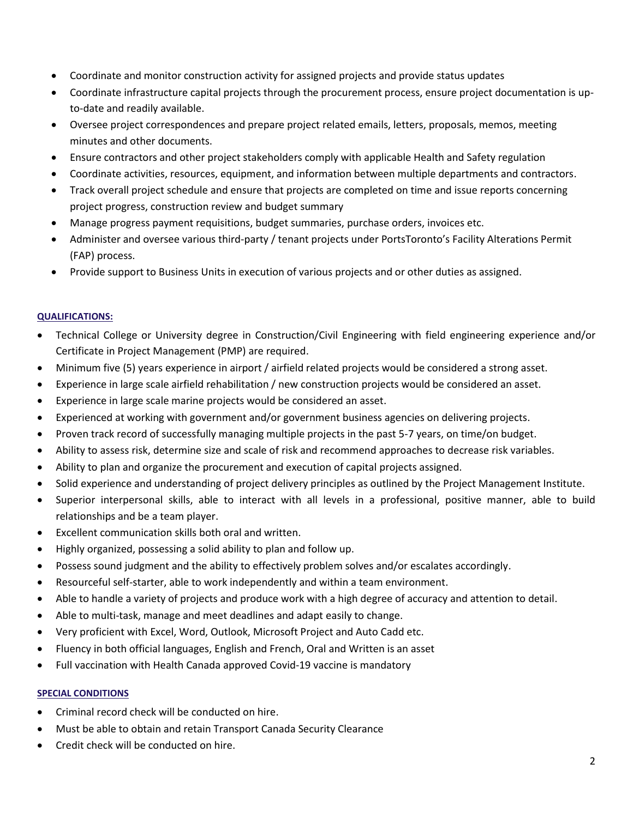- Coordinate and monitor construction activity for assigned projects and provide status updates
- Coordinate infrastructure capital projects through the procurement process, ensure project documentation is upto-date and readily available.
- Oversee project correspondences and prepare project related emails, letters, proposals, memos, meeting minutes and other documents.
- Ensure contractors and other project stakeholders comply with applicable Health and Safety regulation
- Coordinate activities, resources, equipment, and information between multiple departments and contractors.
- Track overall project schedule and ensure that projects are completed on time and issue reports concerning project progress, construction review and budget summary
- Manage progress payment requisitions, budget summaries, purchase orders, invoices etc.
- Administer and oversee various third-party / tenant projects under PortsToronto's Facility Alterations Permit (FAP) process.
- Provide support to Business Units in execution of various projects and or other duties as assigned.

## **QUALIFICATIONS:**

- Technical College or University degree in Construction/Civil Engineering with field engineering experience and/or Certificate in Project Management (PMP) are required.
- Minimum five (5) years experience in airport / airfield related projects would be considered a strong asset.
- Experience in large scale airfield rehabilitation / new construction projects would be considered an asset.
- Experience in large scale marine projects would be considered an asset.
- Experienced at working with government and/or government business agencies on delivering projects.
- Proven track record of successfully managing multiple projects in the past 5-7 years, on time/on budget.
- Ability to assess risk, determine size and scale of risk and recommend approaches to decrease risk variables.
- Ability to plan and organize the procurement and execution of capital projects assigned.
- Solid experience and understanding of project delivery principles as outlined by the Project Management Institute.
- Superior interpersonal skills, able to interact with all levels in a professional, positive manner, able to build relationships and be a team player.
- Excellent communication skills both oral and written.
- Highly organized, possessing a solid ability to plan and follow up.
- Possess sound judgment and the ability to effectively problem solves and/or escalates accordingly.
- Resourceful self-starter, able to work independently and within a team environment.
- Able to handle a variety of projects and produce work with a high degree of accuracy and attention to detail.
- Able to multi-task, manage and meet deadlines and adapt easily to change.
- Very proficient with Excel, Word, Outlook, Microsoft Project and Auto Cadd etc.
- Fluency in both official languages, English and French, Oral and Written is an asset
- Full vaccination with Health Canada approved Covid-19 vaccine is mandatory

#### **SPECIAL CONDITIONS**

- Criminal record check will be conducted on hire.
- Must be able to obtain and retain Transport Canada Security Clearance
- Credit check will be conducted on hire.